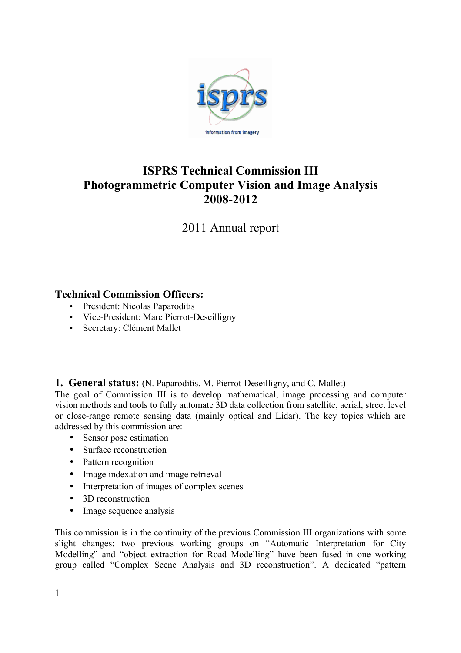

# **ISPRS Technical Commission III Photogrammetric Computer Vision and Image Analysis 2008-2012**

2011 Annual report

# **Technical Commission Officers:**

- President: Nicolas Paparoditis
- Vice-President: Marc Pierrot-Deseilligny
- Secretary: Clément Mallet

**1. General status:** (N. Paparoditis, M. Pierrot-Deseilligny, and C. Mallet)

The goal of Commission III is to develop mathematical, image processing and computer vision methods and tools to fully automate 3D data collection from satellite, aerial, street level or close-range remote sensing data (mainly optical and Lidar). The key topics which are addressed by this commission are:

- Sensor pose estimation
- Surface reconstruction
- Pattern recognition
- Image indexation and image retrieval
- Interpretation of images of complex scenes
- 3D reconstruction
- Image sequence analysis

This commission is in the continuity of the previous Commission III organizations with some slight changes: two previous working groups on "Automatic Interpretation for City Modelling" and "object extraction for Road Modelling" have been fused in one working group called "Complex Scene Analysis and 3D reconstruction". A dedicated "pattern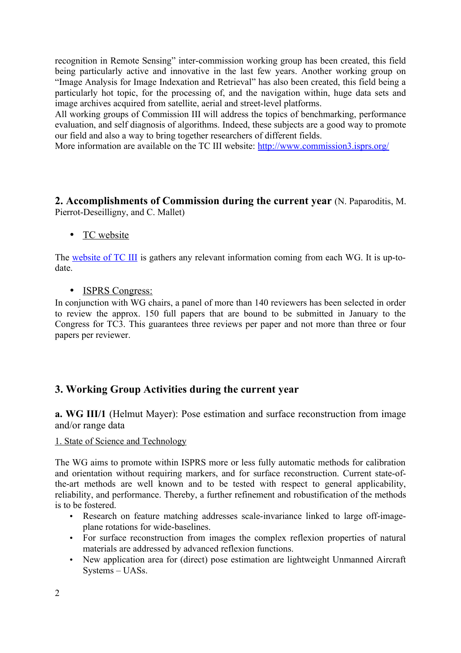recognition in Remote Sensing" inter-commission working group has been created, this field being particularly active and innovative in the last few years. Another working group on "Image Analysis for Image Indexation and Retrieval" has also been created, this field being a particularly hot topic, for the processing of, and the navigation within, huge data sets and image archives acquired from satellite, aerial and street-level platforms.

All working groups of Commission III will address the topics of benchmarking, performance evaluation, and self diagnosis of algorithms. Indeed, these subjects are a good way to promote our field and also a way to bring together researchers of different fields.

More information are available on the TC III website:<http://www.commission3.isprs.org/>

**2. Accomplishments of Commission during the current year** (N. Paparoditis, M. Pierrot-Deseilligny, and C. Mallet)

# • TC website

The [website of TC III](http://www.commission3.isprs.org/) is gathers any relevant information coming from each WG. It is up-todate.

• ISPRS Congress:

In conjunction with WG chairs, a panel of more than 140 reviewers has been selected in order to review the approx. 150 full papers that are bound to be submitted in January to the Congress for TC3. This guarantees three reviews per paper and not more than three or four papers per reviewer.

# **3. Working Group Activities during the current year**

**a. WG III/1** (Helmut Mayer): Pose estimation and surface reconstruction from image and/or range data

1. State of Science and Technology

The WG aims to promote within ISPRS more or less fully automatic methods for calibration and orientation without requiring markers, and for surface reconstruction. Current state-ofthe-art methods are well known and to be tested with respect to general applicability, reliability, and performance. Thereby, a further refinement and robustification of the methods is to be fostered.

- Research on feature matching addresses scale-invariance linked to large off-imageplane rotations for wide-baselines.
- For surface reconstruction from images the complex reflexion properties of natural materials are addressed by advanced reflexion functions.
- New application area for (direct) pose estimation are lightweight Unmanned Aircraft Systems – UASs.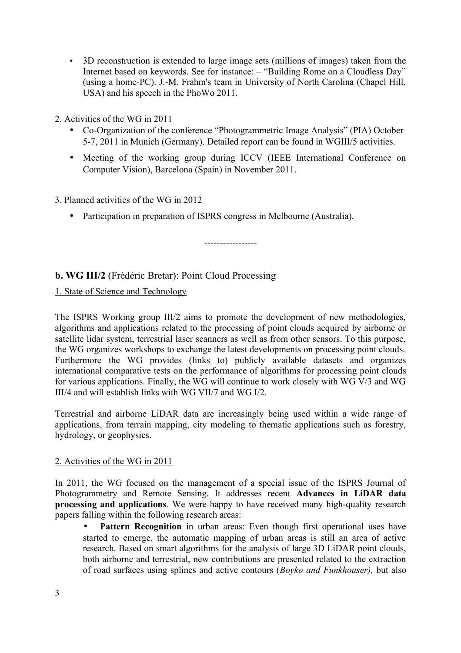- 3D reconstruction is extended to large image sets (millions of images) taken from the Internet based on keywords. See for instance: – "Building Rome on a Cloudless Day" (using a home-PC). J.-M. Frahm's team in University of North Carolina (Chapel Hill, USA) and his speech in the PhoWo 2011.
- 2. Activities of the WG in 2011
	- Co-Organization of the conference "Photogrammetric Image Analysis" (PIA) October 5-7, 2011 in Munich (Germany). Detailed report can be found in WGIII/5 activities.
	- Meeting of the working group during ICCV (IEEE International Conference on Computer Vision), Barcelona (Spain) in November 2011.

-----------------

### 3. Planned activities of the WG in 2012

• Participation in preparation of ISPRS congress in Melbourne (Australia).

**b. WG III/2** (Frédéric Bretar): Point Cloud Processing

1. State of Science and Technology

The ISPRS Working group III/2 aims to promote the development of new methodologies, algorithms and applications related to the processing of point clouds acquired by airborne or satellite lidar system, terrestrial laser scanners as well as from other sensors. To this purpose, the WG organizes workshops to exchange the latest developments on processing point clouds. Furthermore the WG provides (links to) publicly available datasets and organizes international comparative tests on the performance of algorithms for processing point clouds for various applications. Finally, the WG will continue to work closely with WG V/3 and WG III/4 and will establish links with WG VII/7 and WG I/2.

Terrestrial and airborne LiDAR data are increasingly being used within a wide range of applications, from terrain mapping, city modeling to thematic applications such as forestry, hydrology, or geophysics.

### 2. Activities of the WG in 2011

In 2011, the WG focused on the management of a special issue of the ISPRS Journal of Photogrammetry and Remote Sensing. It addresses recent **Advances in LiDAR data processing and applications**. We were happy to have received many high-quality research papers falling within the following research areas:

Pattern Recognition in urban areas: Even though first operational uses have started to emerge, the automatic mapping of urban areas is still an area of active research. Based on smart algorithms for the analysis of large 3D LiDAR point clouds, both airborne and terrestrial, new contributions are presented related to the extraction of road surfaces using splines and active contours (*Boyko and Funkhouser),* but also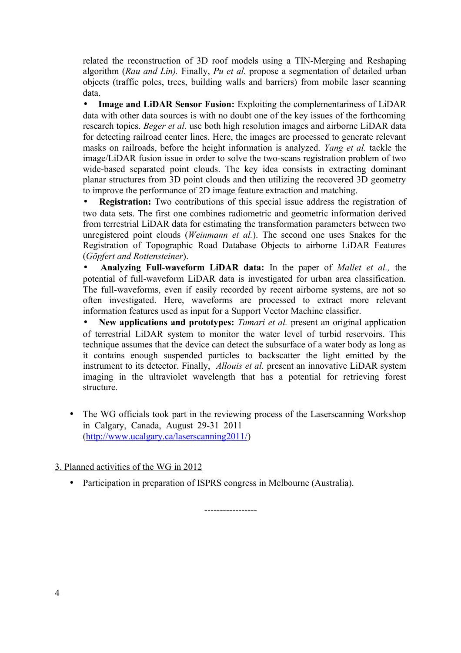related the reconstruction of 3D roof models using a TIN-Merging and Reshaping algorithm (*Rau and Lin).* Finally, *Pu et al.* propose a segmentation of detailed urban objects (traffic poles, trees, building walls and barriers) from mobile laser scanning data.

• **Image and LiDAR Sensor Fusion:** Exploiting the complementariness of LiDAR data with other data sources is with no doubt one of the key issues of the forthcoming research topics. *Beger et al.* use both high resolution images and airborne LiDAR data for detecting railroad center lines. Here, the images are processed to generate relevant masks on railroads, before the height information is analyzed. *Yang et al.* tackle the image/LiDAR fusion issue in order to solve the two-scans registration problem of two wide-based separated point clouds. The key idea consists in extracting dominant planar structures from 3D point clouds and then utilizing the recovered 3D geometry to improve the performance of 2D image feature extraction and matching.

• **Registration:** Two contributions of this special issue address the registration of two data sets. The first one combines radiometric and geometric information derived from terrestrial LiDAR data for estimating the transformation parameters between two unregistered point clouds (*Weinmann et al.*). The second one uses Snakes for the Registration of Topographic Road Database Objects to airborne LiDAR Features (*Göpfert and Rottensteiner*).

• **Analyzing Full-waveform LiDAR data:** In the paper of *Mallet et al.,* the potential of full-waveform LiDAR data is investigated for urban area classification. The full-waveforms, even if easily recorded by recent airborne systems, are not so often investigated. Here, waveforms are processed to extract more relevant information features used as input for a Support Vector Machine classifier.

• **New applications and prototypes:** *Tamari et al.* present an original application of terrestrial LiDAR system to monitor the water level of turbid reservoirs. This technique assumes that the device can detect the subsurface of a water body as long as it contains enough suspended particles to backscatter the light emitted by the instrument to its detector. Finally, *Allouis et al.* present an innovative LiDAR system imaging in the ultraviolet wavelength that has a potential for retrieving forest structure.

• The WG officials took part in the reviewing process of the Laserscanning Workshop in Calgary, Canada, August 29-31 2011 [\(http://www.ucalgary.ca/laserscanning2011/\)](http://www.ucalgary.ca/laserscanning2011/)

# 3. Planned activities of the WG in 2012

• Participation in preparation of ISPRS congress in Melbourne (Australia).

-----------------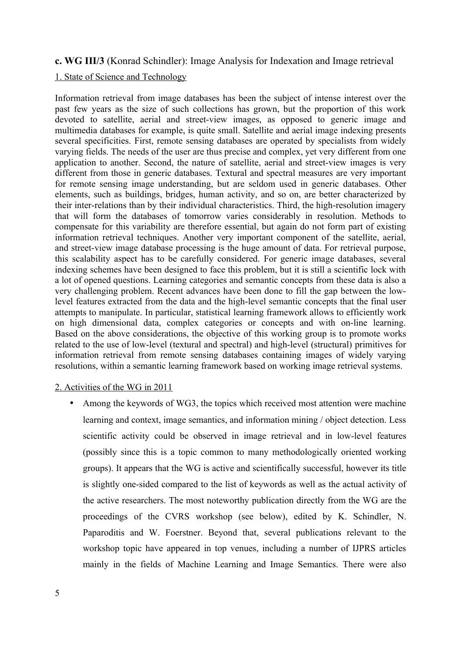#### **c. WG III/3** (Konrad Schindler): Image Analysis for Indexation and Image retrieval

#### 1. State of Science and Technology

Information retrieval from image databases has been the subject of intense interest over the past few years as the size of such collections has grown, but the proportion of this work devoted to satellite, aerial and street-view images, as opposed to generic image and multimedia databases for example, is quite small. Satellite and aerial image indexing presents several specificities. First, remote sensing databases are operated by specialists from widely varying fields. The needs of the user are thus precise and complex, yet very different from one application to another. Second, the nature of satellite, aerial and street-view images is very different from those in generic databases. Textural and spectral measures are very important for remote sensing image understanding, but are seldom used in generic databases. Other elements, such as buildings, bridges, human activity, and so on, are better characterized by their inter-relations than by their individual characteristics. Third, the high-resolution imagery that will form the databases of tomorrow varies considerably in resolution. Methods to compensate for this variability are therefore essential, but again do not form part of existing information retrieval techniques. Another very important component of the satellite, aerial, and street-view image database processing is the huge amount of data. For retrieval purpose, this scalability aspect has to be carefully considered. For generic image databases, several indexing schemes have been designed to face this problem, but it is still a scientific lock with a lot of opened questions. Learning categories and semantic concepts from these data is also a very challenging problem. Recent advances have been done to fill the gap between the lowlevel features extracted from the data and the high-level semantic concepts that the final user attempts to manipulate. In particular, statistical learning framework allows to efficiently work on high dimensional data, complex categories or concepts and with on-line learning. Based on the above considerations, the objective of this working group is to promote works related to the use of low-level (textural and spectral) and high-level (structural) primitives for information retrieval from remote sensing databases containing images of widely varying resolutions, within a semantic learning framework based on working image retrieval systems.

#### 2. Activities of the WG in 2011

• Among the keywords of WG3, the topics which received most attention were machine learning and context, image semantics, and information mining / object detection. Less scientific activity could be observed in image retrieval and in low-level features (possibly since this is a topic common to many methodologically oriented working groups). It appears that the WG is active and scientifically successful, however its title is slightly one-sided compared to the list of keywords as well as the actual activity of the active researchers. The most noteworthy publication directly from the WG are the proceedings of the CVRS workshop (see below), edited by K. Schindler, N. Paparoditis and W. Foerstner. Beyond that, several publications relevant to the workshop topic have appeared in top venues, including a number of IJPRS articles mainly in the fields of Machine Learning and Image Semantics. There were also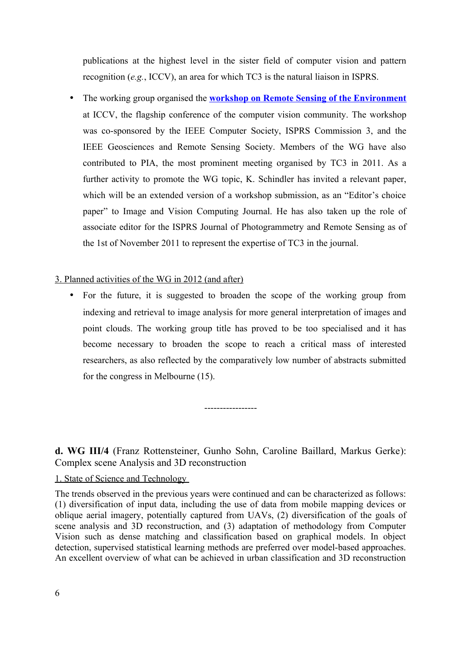publications at the highest level in the sister field of computer vision and pattern recognition (*e.g.*, ICCV), an area for which TC3 is the natural liaison in ISPRS.

• The working group organised the **workshop on Remote Sensing of the Environment** at ICCV, the flagship conference of the computer vision community. The workshop was co-sponsored by the IEEE Computer Society, ISPRS Commission 3, and the IEEE Geosciences and Remote Sensing Society. Members of the WG have also contributed to PIA, the most prominent meeting organised by TC3 in 2011. As a further activity to promote the WG topic, K. Schindler has invited a relevant paper, which will be an extended version of a workshop submission, as an "Editor's choice paper" to Image and Vision Computing Journal. He has also taken up the role of associate editor for the ISPRS Journal of Photogrammetry and Remote Sensing as of the 1st of November 2011 to represent the expertise of TC3 in the journal.

#### 3. Planned activities of the WG in 2012 (and after)

• For the future, it is suggested to broaden the scope of the working group from indexing and retrieval to image analysis for more general interpretation of images and point clouds. The working group title has proved to be too specialised and it has become necessary to broaden the scope to reach a critical mass of interested researchers, as also reflected by the comparatively low number of abstracts submitted for the congress in Melbourne (15).

-----------------

**d. WG III/4** (Franz Rottensteiner, Gunho Sohn, Caroline Baillard, Markus Gerke): Complex scene Analysis and 3D reconstruction

### 1. State of Science and Technology

The trends observed in the previous years were continued and can be characterized as follows: (1) diversification of input data, including the use of data from mobile mapping devices or oblique aerial imagery, potentially captured from UAVs, (2) diversification of the goals of scene analysis and 3D reconstruction, and (3) adaptation of methodology from Computer Vision such as dense matching and classification based on graphical models. In object detection, supervised statistical learning methods are preferred over model-based approaches. An excellent overview of what can be achieved in urban classification and 3D reconstruction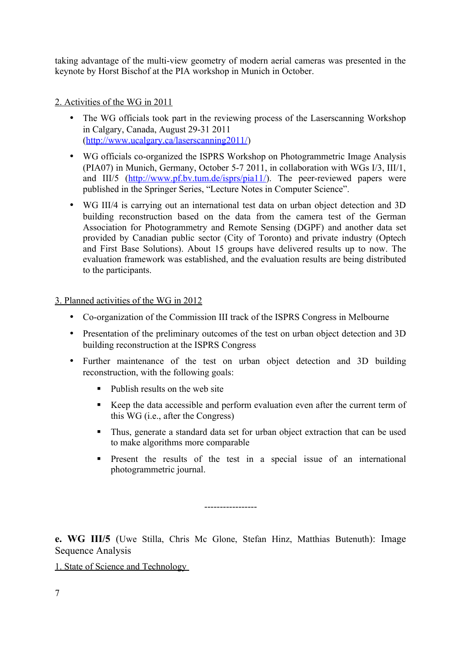taking advantage of the multi-view geometry of modern aerial cameras was presented in the keynote by Horst Bischof at the PIA workshop in Munich in October.

## 2. Activities of the WG in 2011

- The WG officials took part in the reviewing process of the Laserscanning Workshop in Calgary, Canada, August 29-31 2011 [\(http://www.ucalgary.ca/laserscanning2011/\)](http://www.ucalgary.ca/laserscanning2011/)
- WG officials co-organized the ISPRS Workshop on Photogrammetric Image Analysis (PIA07) in Munich, Germany, October 5-7 2011, in collaboration with WGs I/3, III/1, and III/5 [\(http://www.pf.bv.tum.de/isprs/pia11/\)](http://www.pf.bv.tum.de/isprs/pia11/). The peer-reviewed papers were published in the Springer Series, "Lecture Notes in Computer Science".
- WG III/4 is carrying out an international test data on urban object detection and 3D building reconstruction based on the data from the camera test of the German Association for Photogrammetry and Remote Sensing (DGPF) and another data set provided by Canadian public sector (City of Toronto) and private industry (Optech and First Base Solutions). About 15 groups have delivered results up to now. The evaluation framework was established, and the evaluation results are being distributed to the participants.

### 3. Planned activities of the WG in 2012

- Co-organization of the Commission III track of the ISPRS Congress in Melbourne
- Presentation of the preliminary outcomes of the test on urban object detection and 3D building reconstruction at the ISPRS Congress
- Further maintenance of the test on urban object detection and 3D building reconstruction, with the following goals:
	- Publish results on the web site
	- Keep the data accessible and perform evaluation even after the current term of this WG (i.e., after the Congress)
	- Thus, generate a standard data set for urban object extraction that can be used to make algorithms more comparable
	- Present the results of the test in a special issue of an international photogrammetric journal.

**e. WG III/5** (Uwe Stilla, Chris Mc Glone, Stefan Hinz, Matthias Butenuth): Image Sequence Analysis

-----------------

1. State of Science and Technology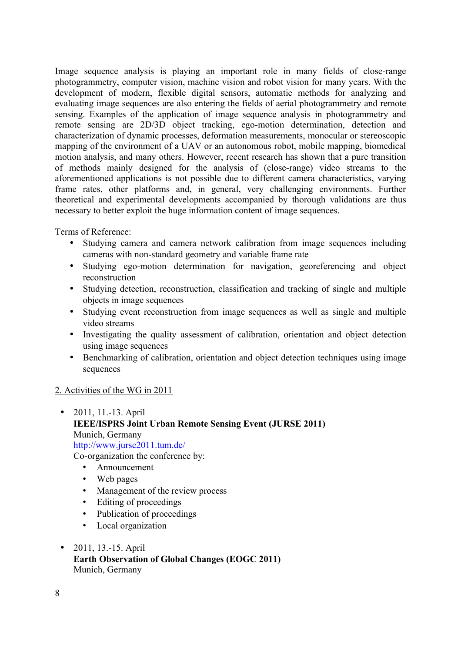Image sequence analysis is playing an important role in many fields of close-range photogrammetry, computer vision, machine vision and robot vision for many years. With the development of modern, flexible digital sensors, automatic methods for analyzing and evaluating image sequences are also entering the fields of aerial photogrammetry and remote sensing. Examples of the application of image sequence analysis in photogrammetry and remote sensing are 2D/3D object tracking, ego-motion determination, detection and characterization of dynamic processes, deformation measurements, monocular or stereoscopic mapping of the environment of a UAV or an autonomous robot, mobile mapping, biomedical motion analysis, and many others. However, recent research has shown that a pure transition of methods mainly designed for the analysis of (close-range) video streams to the aforementioned applications is not possible due to different camera characteristics, varying frame rates, other platforms and, in general, very challenging environments. Further theoretical and experimental developments accompanied by thorough validations are thus necessary to better exploit the huge information content of image sequences.

Terms of Reference:

- Studying camera and camera network calibration from image sequences including cameras with non-standard geometry and variable frame rate
- Studying ego-motion determination for navigation, georeferencing and object reconstruction
- Studying detection, reconstruction, classification and tracking of single and multiple objects in image sequences
- Studying event reconstruction from image sequences as well as single and multiple video streams
- Investigating the quality assessment of calibration, orientation and object detection using image sequences
- Benchmarking of calibration, orientation and object detection techniques using image sequences

### 2. Activities of the WG in 2011

- 2011, 11.-13. April **IEEE/ISPRS Joint Urban Remote Sensing Event (JURSE 2011)** Munich, Germany <http://www.jurse2011.tum.de/> Co-organization the conference by:
	- Announcement
	- Web pages
	- Management of the review process
	- Editing of proceedings
	- Publication of proceedings
	- Local organization
- 2011, 13.-15. April **Earth Observation of Global Changes (EOGC 2011)** Munich, Germany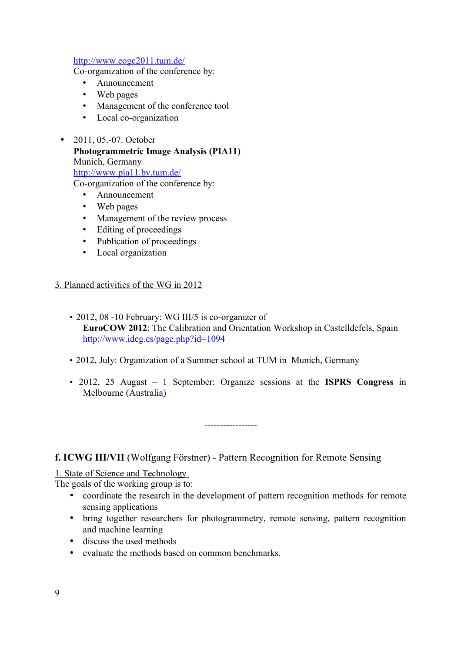#### <http://www.eogc2011.tum.de/>

Co-organization of the conference by:

- Announcement
- Web pages
- Management of the conference tool
- Local co-organization
- 2011, 05.-07. October **Photogrammetric Image Analysis (PIA11)** Munich, Germany <http://www.pia11.bv.tum.de/> Co-organization of the conference by:
	- Announcement
	- Web pages
	- Management of the review process
	- Editing of proceedings
	- Publication of proceedings
	- Local organization

#### 3. Planned activities of the WG in 2012

- 2012, 08 -10 February: WG III/5 is co-organizer of **EuroCOW 2012**: The Calibration and Orientation Workshop in Castelldefels, Spain http://www.ideg.es/page.php?id=1094
- 2012, July: Organization of a Summer school at TUM in Munich, Germany
- 2012, 25 August 1 September: Organize sessions at the **ISPRS Congress** in Melbourne (Australi[a\)](http://www.isprs2012-melbourne.org/)

-----------------

### **f. ICWG III/VII** (Wolfgang Förstner) - Pattern Recognition for Remote Sensing

1. State of Science and Technology

The goals of the working group is to:

- coordinate the research in the development of pattern recognition methods for remote sensing applications
- bring together researchers for photogrammetry, remote sensing, pattern recognition and machine learning
- discuss the used methods
- evaluate the methods based on common benchmarks.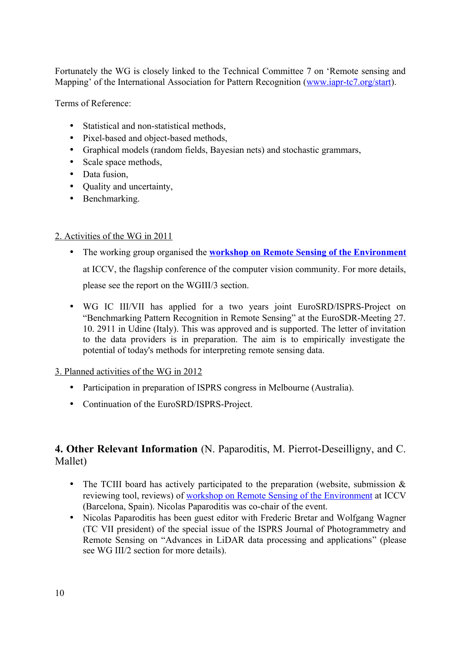Fortunately the WG is closely linked to the Technical Committee 7 on 'Remote sensing and Mapping' of the International Association for Pattern Recognition (www.japr-tc7.org/start).

Terms of Reference:

- Statistical and non-statistical methods,
- Pixel-based and object-based methods,
- Graphical models (random fields, Bayesian nets) and stochastic grammars,
- Scale space methods,
- Data fusion,
- Ouality and uncertainty,
- Benchmarking.

### 2. Activities of the WG in 2011

- The working group organised the **workshop on Remote Sensing of the Environment** at ICCV, the flagship conference of the computer vision community. For more details, please see the report on the WGIII/3 section.
- WG IC III/VII has applied for a two years joint EuroSRD/ISPRS-Project on "Benchmarking Pattern Recognition in Remote Sensing" at the EuroSDR-Meeting 27. 10. 2911 in Udine (Italy). This was approved and is supported. The letter of invitation to the data providers is in preparation. The aim is to empirically investigate the potential of today's methods for interpreting remote sensing data.

### 3. Planned activities of the WG in 2012

- Participation in preparation of ISPRS congress in Melbourne (Australia).
- Continuation of the EuroSRD/ISPRS-Project.

# **4. Other Relevant Information** (N. Paparoditis, M. Pierrot-Deseilligny, and C. Mallet)

- The TCIII board has actively participated to the preparation (website, submission  $\&$ reviewing tool, reviews) of [workshop on Remote Sensing of the Environment](http://recherche.ign.fr/isprs/CVRS/) at ICCV (Barcelona, Spain). Nicolas Paparoditis was co-chair of the event.
- Nicolas Paparoditis has been guest editor with Frederic Bretar and Wolfgang Wagner (TC VII president) of the special issue of the ISPRS Journal of Photogrammetry and Remote Sensing on "Advances in LiDAR data processing and applications" (please see WG III/2 section for more details).